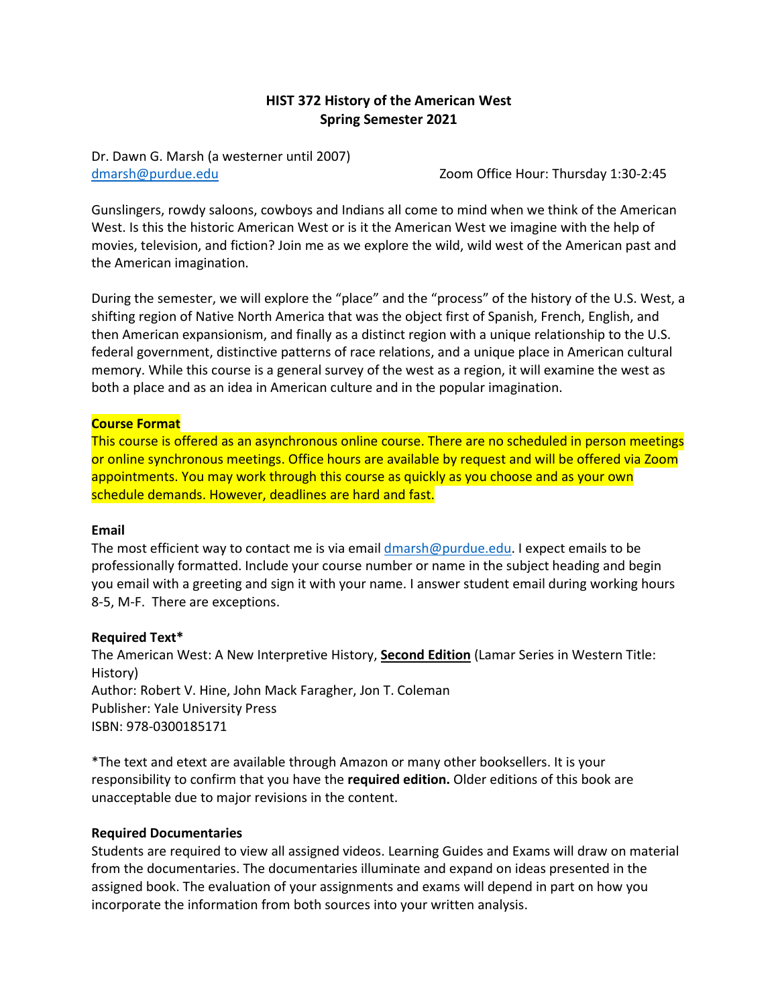# **HIST 372 History of the American West Spring Semester 2021**

Dr. Dawn G. Marsh (a westerner until 2007) [dmarsh@purdue.edu](mailto:dmarsh@purdue.edu) Zoom Office Hour: Thursday 1:30-2:45

Gunslingers, rowdy saloons, cowboys and Indians all come to mind when we think of the American West. Is this the historic American West or is it the American West we imagine with the help of movies, television, and fiction? Join me as we explore the wild, wild west of the American past and the American imagination.

During the semester, we will explore the "place" and the "process" of the history of the U.S. West, a shifting region of Native North America that was the object first of Spanish, French, English, and then American expansionism, and finally as a distinct region with a unique relationship to the U.S. federal government, distinctive patterns of race relations, and a unique place in American cultural memory. While this course is a general survey of the west as a region, it will examine the west as both a place and as an idea in American culture and in the popular imagination.

#### **Course Format**

This course is offered as an asynchronous online course. There are no scheduled in person meetings or online synchronous meetings. Office hours are available by request and will be offered via Zoom appointments. You may work through this course as quickly as you choose and as your own schedule demands. However, deadlines are hard and fast.

#### **Email**

The most efficient way to contact me is via email [dmarsh@purdue.edu.](mailto:dmarsh@purdue.edu) I expect emails to be professionally formatted. Include your course number or name in the subject heading and begin you email with a greeting and sign it with your name. I answer student email during working hours 8-5, M-F. There are exceptions.

#### **Required Text\***

The American West: A New Interpretive History, **Second Edition** (Lamar Series in Western Title: History) Author: Robert V. Hine, John Mack Faragher, Jon T. Coleman Publisher: Yale University Press ISBN: 978-0300185171

\*The text and etext are available through Amazon or many other booksellers. It is your responsibility to confirm that you have the **required edition.** Older editions of this book are unacceptable due to major revisions in the content.

#### **Required Documentaries**

Students are required to view all assigned videos. Learning Guides and Exams will draw on material from the documentaries. The documentaries illuminate and expand on ideas presented in the assigned book. The evaluation of your assignments and exams will depend in part on how you incorporate the information from both sources into your written analysis.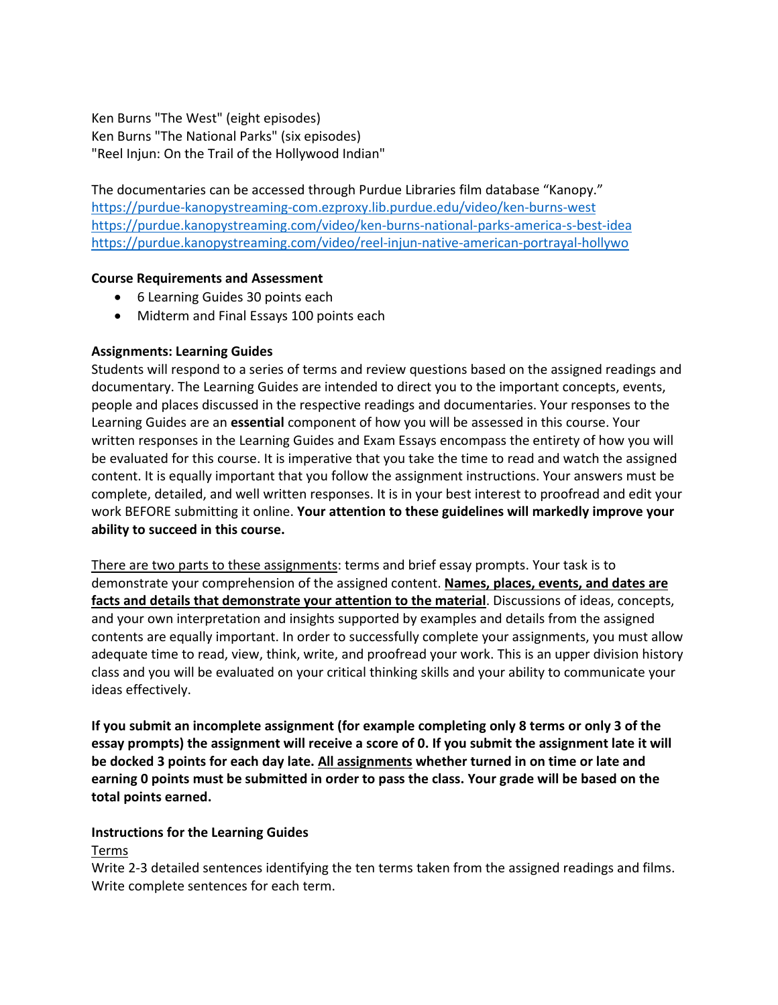Ken Burns "The West" (eight episodes) Ken Burns "The National Parks" (six episodes) "Reel Injun: On the Trail of the Hollywood Indian"

The documentaries can be accessed through Purdue Libraries film database "Kanopy." <https://purdue-kanopystreaming-com.ezproxy.lib.purdue.edu/video/ken-burns-west> <https://purdue.kanopystreaming.com/video/ken-burns-national-parks-america-s-best-idea> <https://purdue.kanopystreaming.com/video/reel-injun-native-american-portrayal-hollywo>

## **Course Requirements and Assessment**

- 6 Learning Guides 30 points each
- Midterm and Final Essays 100 points each

## **Assignments: Learning Guides**

Students will respond to a series of terms and review questions based on the assigned readings and documentary. The Learning Guides are intended to direct you to the important concepts, events, people and places discussed in the respective readings and documentaries. Your responses to the Learning Guides are an **essential** component of how you will be assessed in this course. Your written responses in the Learning Guides and Exam Essays encompass the entirety of how you will be evaluated for this course. It is imperative that you take the time to read and watch the assigned content. It is equally important that you follow the assignment instructions. Your answers must be complete, detailed, and well written responses. It is in your best interest to proofread and edit your work BEFORE submitting it online. **Your attention to these guidelines will markedly improve your ability to succeed in this course.**

There are two parts to these assignments: terms and brief essay prompts. Your task is to demonstrate your comprehension of the assigned content. **Names, places, events, and dates are facts and details that demonstrate your attention to the material**. Discussions of ideas, concepts, and your own interpretation and insights supported by examples and details from the assigned contents are equally important. In order to successfully complete your assignments, you must allow adequate time to read, view, think, write, and proofread your work. This is an upper division history class and you will be evaluated on your critical thinking skills and your ability to communicate your ideas effectively.

**If you submit an incomplete assignment (for example completing only 8 terms or only 3 of the essay prompts) the assignment will receive a score of 0. If you submit the assignment late it will be docked 3 points for each day late. All assignments whether turned in on time or late and earning 0 points must be submitted in order to pass the class. Your grade will be based on the total points earned.**

# **Instructions for the Learning Guides**

Terms

Write 2-3 detailed sentences identifying the ten terms taken from the assigned readings and films. Write complete sentences for each term.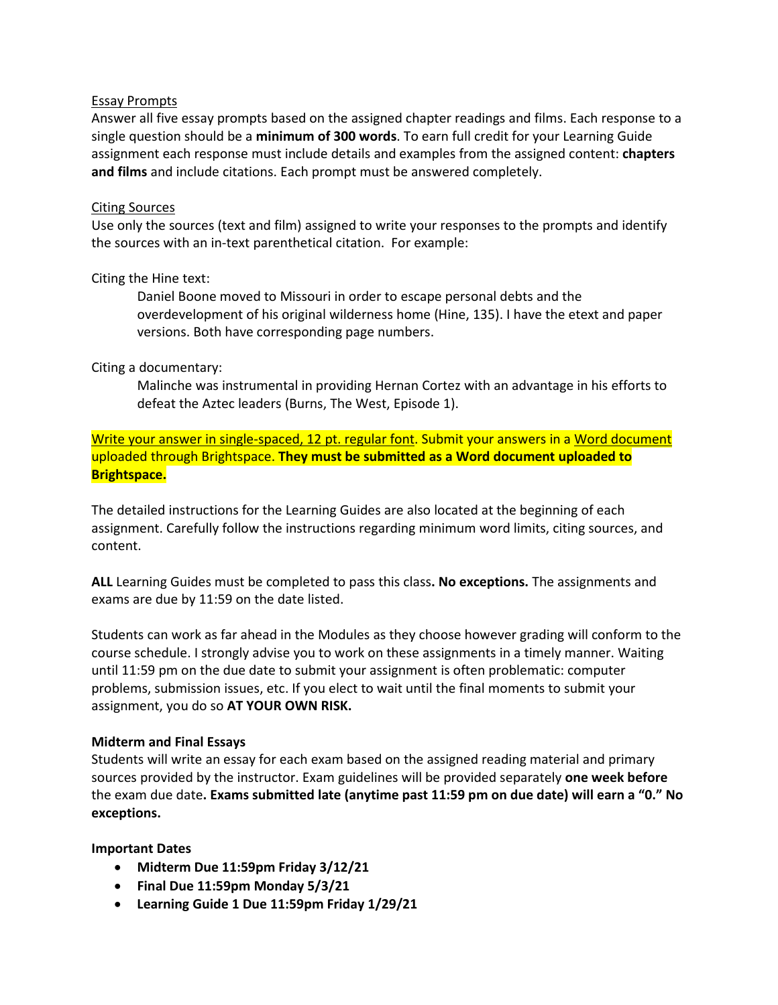#### Essay Prompts

Answer all five essay prompts based on the assigned chapter readings and films. Each response to a single question should be a **minimum of 300 words**. To earn full credit for your Learning Guide assignment each response must include details and examples from the assigned content: **chapters and films** and include citations. Each prompt must be answered completely.

## Citing Sources

Use only the sources (text and film) assigned to write your responses to the prompts and identify the sources with an in-text parenthetical citation. For example:

## Citing the Hine text:

Daniel Boone moved to Missouri in order to escape personal debts and the overdevelopment of his original wilderness home (Hine, 135). I have the etext and paper versions. Both have corresponding page numbers.

## Citing a documentary:

Malinche was instrumental in providing Hernan Cortez with an advantage in his efforts to defeat the Aztec leaders (Burns, The West, Episode 1).

Write your answer in single-spaced, 12 pt. regular font. Submit your answers in a Word document uploaded through Brightspace. **They must be submitted as a Word document uploaded to Brightspace.**

The detailed instructions for the Learning Guides are also located at the beginning of each assignment. Carefully follow the instructions regarding minimum word limits, citing sources, and content.

**ALL** Learning Guides must be completed to pass this class**. No exceptions.** The assignments and exams are due by 11:59 on the date listed.

Students can work as far ahead in the Modules as they choose however grading will conform to the course schedule. I strongly advise you to work on these assignments in a timely manner. Waiting until 11:59 pm on the due date to submit your assignment is often problematic: computer problems, submission issues, etc. If you elect to wait until the final moments to submit your assignment, you do so **AT YOUR OWN RISK.** 

# **Midterm and Final Essays**

Students will write an essay for each exam based on the assigned reading material and primary sources provided by the instructor. Exam guidelines will be provided separately **one week before** the exam due date**. Exams submitted late (anytime past 11:59 pm on due date) will earn a "0." No exceptions.**

# **Important Dates**

- **Midterm Due 11:59pm Friday 3/12/21**
- **Final Due 11:59pm Monday 5/3/21**
- **Learning Guide 1 Due 11:59pm Friday 1/29/21**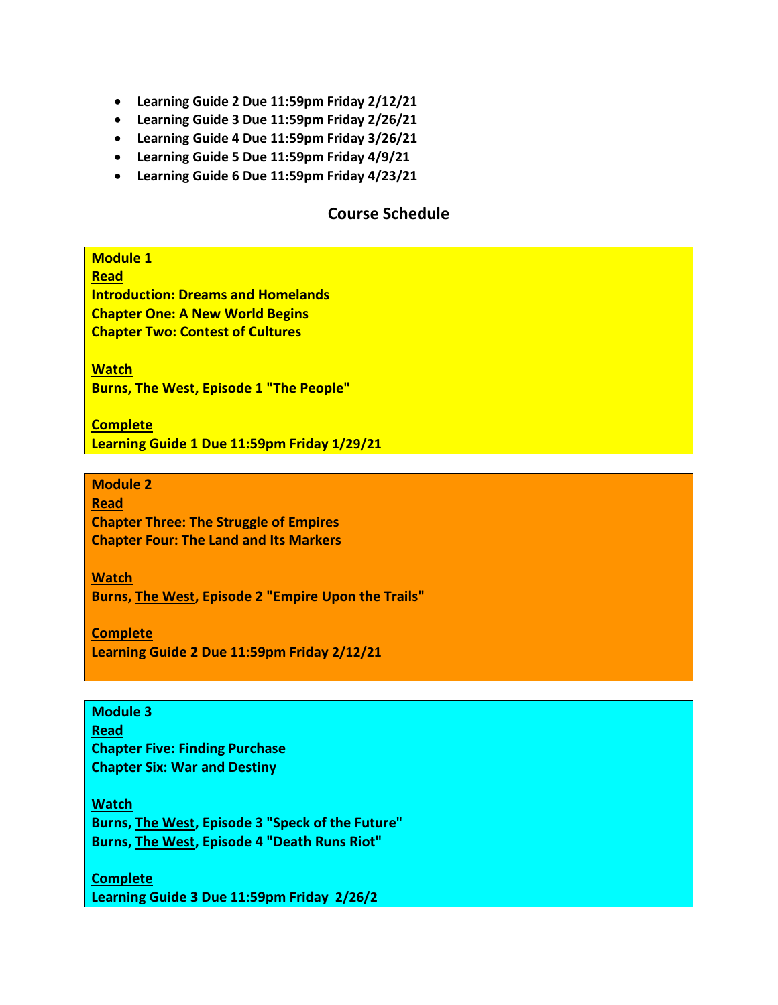- **Learning Guide 2 Due 11:59pm Friday 2/12/21**
- **Learning Guide 3 Due 11:59pm Friday 2/26/21**
- **Learning Guide 4 Due 11:59pm Friday 3/26/21**
- **Learning Guide 5 Due 11:59pm Friday 4/9/21**
- **Learning Guide 6 Due 11:59pm Friday 4/23/21**

# **Course Schedule**

**Module 1** 

**Read Introduction: Dreams and Homelands Chapter One: A New World Begins Chapter Two: Contest of Cultures**

**Watch Burns, The West, Episode 1 "The People"**

**Complete Learning Guide 1 Due 11:59pm Friday 1/29/21**

**Module 2 Read Chapter Three: The Struggle of Empires Chapter Four: The Land and Its Markers**

**Watch Burns, The West, Episode 2 "Empire Upon the Trails"**

**Complete Learning Guide 2 Due 11:59pm Friday 2/12/21**

**Module 3 Read Chapter Five: Finding Purchase Chapter Six: War and Destiny**

**Watch Burns, The West, Episode 3 "Speck of the Future" Burns, The West, Episode 4 "Death Runs Riot"**

**Complete Learning Guide 3 Due 11:59pm Friday 2/26/2**